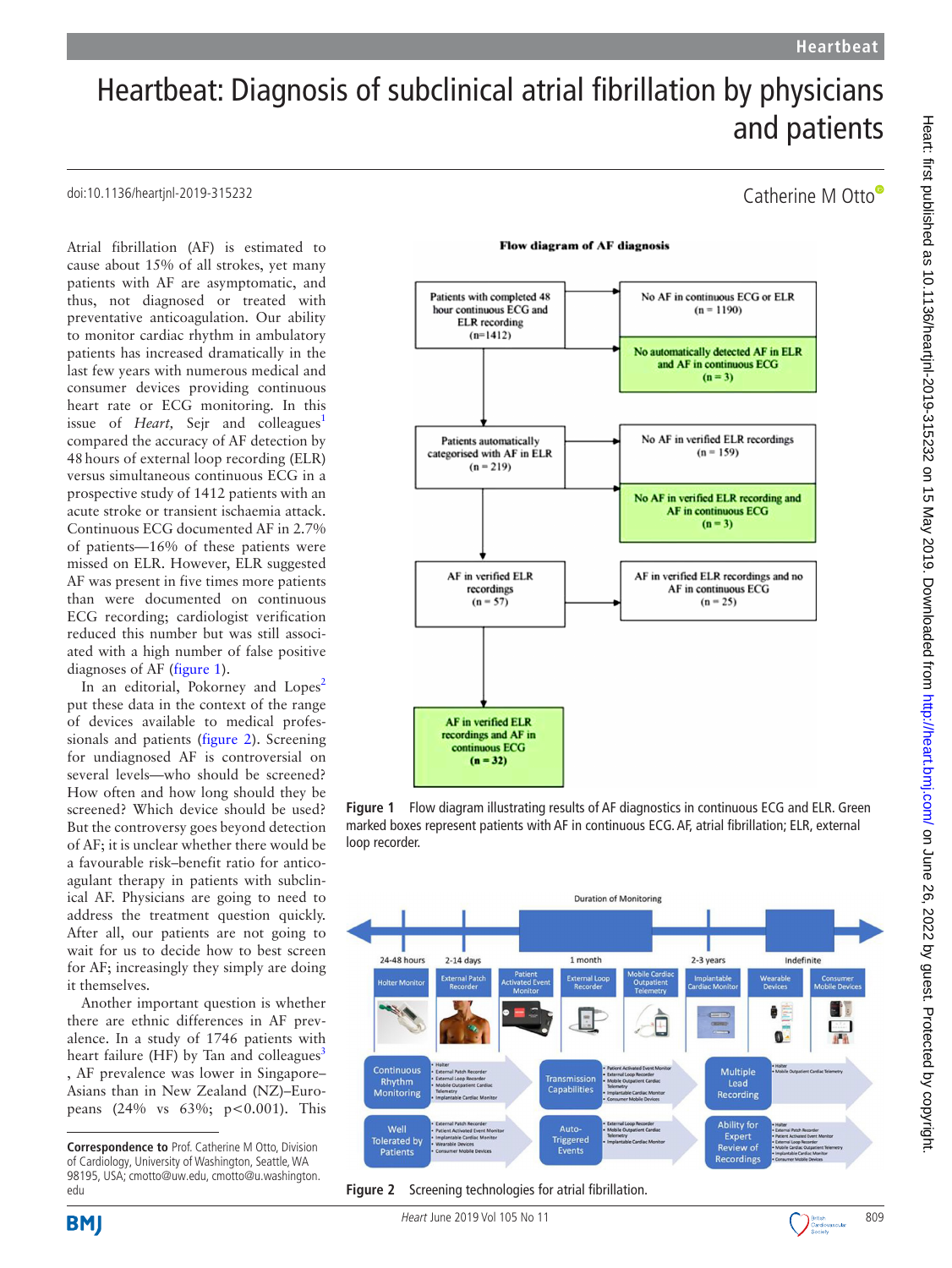Catherine M Otto

# Heartbeat: Diagnosis of subclinical atrial fibrillation by physicians and patients

## doi:10.1136/heartjnl-2019-315232

Atrial fibrillation (AF) is estimated to cause about 15% of all strokes, yet many patients with AF are asymptomatic, and thus, not diagnosed or treated with preventative anticoagulation. Our ability to monitor cardiac rhythm in ambulatory patients has increased dramatically in the last few years with numerous medical and consumer devices providing continuous heart rate or ECG monitoring. In this issue of *Heart*, Sejr and colleagues<sup>[1](#page-2-0)</sup> compared the accuracy of AF detection by 48hours of external loop recording (ELR) versus simultaneous continuous ECG in a prospective study of 1412 patients with an acute stroke or transient ischaemia attack. Continuous ECG documented AF in 2.7% of patients—16% of these patients were missed on ELR. However, ELR suggested AF was present in five times more patients than were documented on continuous ECG recording; cardiologist verification reduced this number but was still associated with a high number of false positive diagnoses of AF ([figure](#page-0-0) 1).

In an editorial, Pokorney and Lopes<sup>[2](#page-2-1)</sup> put these data in the context of the range of devices available to medical professionals and patients [\(figure](#page-0-1) 2). Screening for undiagnosed AF is controversial on several levels—who should be screened? How often and how long should they be screened? Which device should be used? But the controversy goes beyond detection of AF; it is unclear whether there would be a favourable risk–benefit ratio for anticoagulant therapy in patients with subclinical AF. Physicians are going to need to address the treatment question quickly. After all, our patients are not going to wait for us to decide how to best screen for AF; increasingly they simply are doing it themselves.

Another important question is whether there are ethnic differences in AF prevalence. In a study of 1746 patients with heart failure (HF) by Tan and colleagues $3$ , AF prevalence was lower in Singapore– Asians than in New Zealand (NZ)–Europeans  $(24\% \text{ vs } 63\%; \text{ p} < 0.001)$ . This

#### **Flow diagram of AF diagnosis**



<span id="page-0-0"></span>**Figure 1** Flow diagram illustrating results of AF diagnostics in continuous ECG and ELR. Green marked boxes represent patients with AF in continuous ECG. AF, atrial fibrillation; ELR, external loop recorder.



<span id="page-0-1"></span>**Figure 2** Screening technologies for atrial fibrillation.

**Correspondence to** Prof. Catherine M Otto, Division of Cardiology, University of Washington, Seattle, WA 98195, USA; cmotto@uw.edu, cmotto@u.washington. edu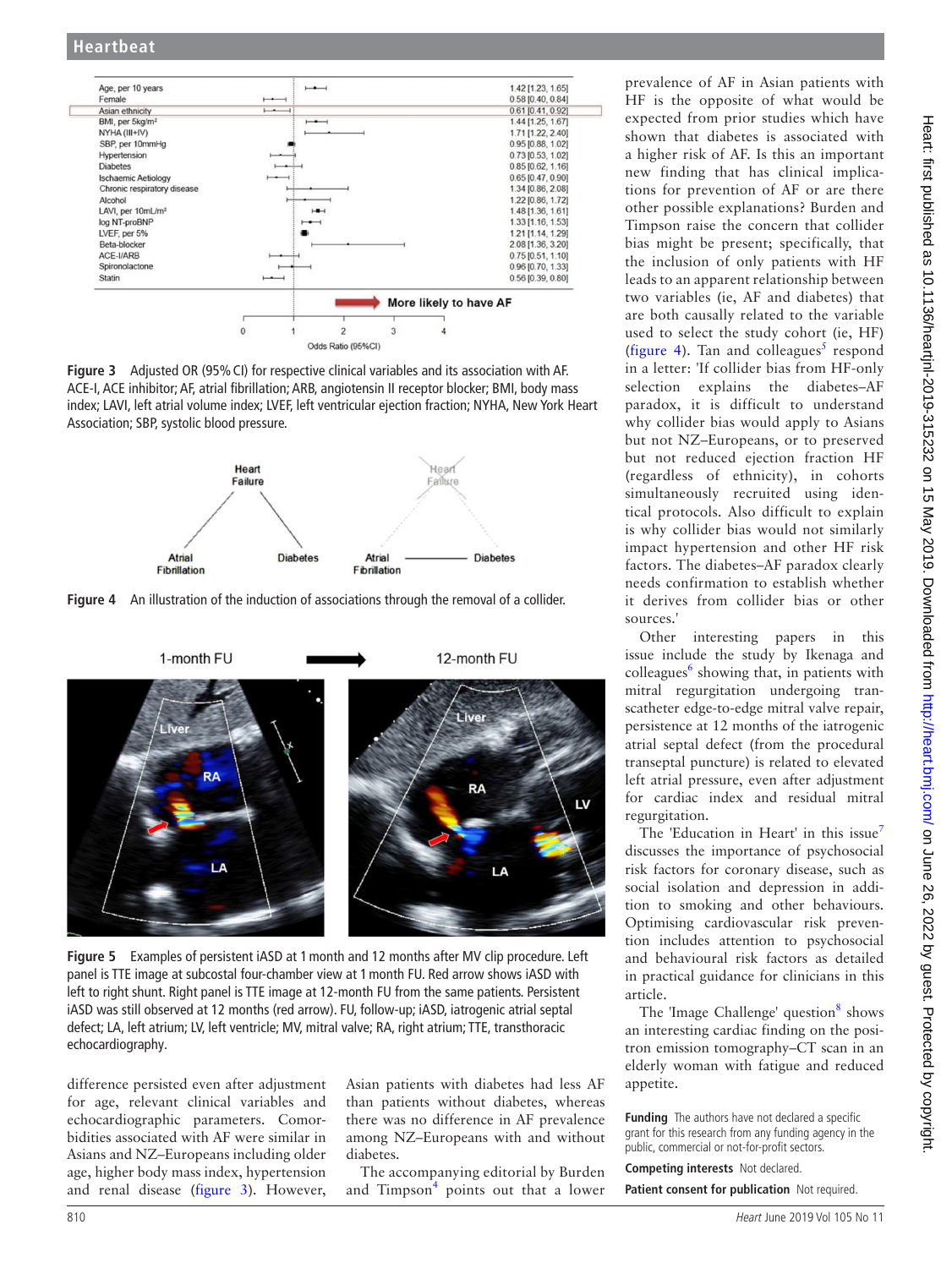

<span id="page-1-0"></span>Figure 3 Adjusted OR (95% CI) for respective clinical variables and its association with AF. ACE-I, ACE inhibitor; AF, atrial fibrillation; ARB, angiotensin II receptor blocker; BMI, body mass index; LAVI, left atrial volume index; LVEF, left ventricular ejection fraction; NYHA, New York Heart Association; SBP, systolic blood pressure.

<span id="page-1-1"></span>

**Figure 4** An illustration of the induction of associations through the removal of a collider.



**Figure 5** Examples of persistent iASD at 1month and 12 months after MV clip procedure. Left panel is TTE image at subcostal four-chamber view at 1month FU. Red arrow shows iASD with left to right shunt. Right panel is TTE image at 12-month FU from the same patients. Persistent iASD was still observed at 12 months (red arrow). FU, follow-up; iASD, iatrogenic atrial septal defect; LA, left atrium; LV, left ventricle; MV, mitral valve; RA, right atrium; TTE, transthoracic echocardiography.

difference persisted even after adjustment for age, relevant clinical variables and echocardiographic parameters. Comorbidities associated with AF were similar in Asians and NZ–Europeans including older age, higher body mass index, hypertension and renal disease [\(figure](#page-1-0) 3). However, Asian patients with diabetes had less AF than patients without diabetes, whereas there was no difference in AF prevalence among NZ–Europeans with and without diabetes.

The accompanying editorial by Burden and Timpson<sup>[4](#page-2-3)</sup> points out that a lower prevalence of AF in Asian patients with HF is the opposite of what would be expected from prior studies which have shown that diabetes is associated with a higher risk of AF. Is this an important new finding that has clinical implications for prevention of AF or are there other possible explanations? Burden and Timpson raise the concern that collider bias might be present; specifically, that the inclusion of only patients with HF leads to an apparent relationship between two variables (ie, AF and diabetes) that are both causally related to the variable used to select the study cohort (ie, HF) [\(figure](#page-1-1) 4). Tan and colleagues<sup>[5](#page-2-4)</sup> respond in a letter: 'If collider bias from HF-only selection explains the diabetes–AF paradox, it is difficult to understand why collider bias would apply to Asians but not NZ–Europeans, or to preserved but not reduced ejection fraction HF (regardless of ethnicity), in cohorts simultaneously recruited using identical protocols. Also difficult to explain is why collider bias would not similarly impact hypertension and other HF risk factors. The diabetes–AF paradox clearly needs confirmation to establish whether it derives from collider bias or other sources.'

Other interesting papers in this issue include the study by Ikenaga and colleagues<sup>6</sup> showing that, in patients with mitral regurgitation undergoing transcatheter edge-to-edge mitral valve repair, persistence at 12 months of the iatrogenic atrial septal defect (from the procedural transeptal puncture) is related to elevated left atrial pressure, even after adjustment for cardiac index and residual mitral regurgitation.

The 'Education in Heart' in this issue<sup>[7](#page-2-6)</sup> discusses the importance of psychosocial risk factors for coronary disease, such as social isolation and depression in addition to smoking and other behaviours. Optimising cardiovascular risk prevention includes attention to psychosocial and behavioural risk factors as detailed in practical guidance for clinicians in this article.

The 'Image Challenge' question<sup>8</sup> shows an interesting cardiac finding on the positron emission tomography–CT scan in an elderly woman with fatigue and reduced appetite.

**Funding** The authors have not declared a specific grant for this research from any funding agency in the public, commercial or not-for-profit sectors.

**Competing interests** Not declared. **Patient consent for publication** Not required.